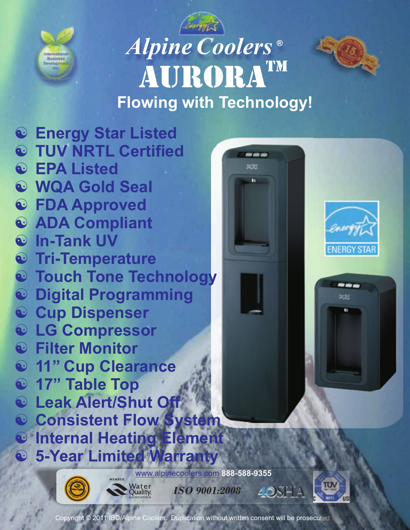

## *AlpineCoolers ®* AURORATM  **Flowing with Technology!**

ف ف م œм





---処地

[www.alpinecoolers.com](http://www.alpinecoolers.com) **888-588-9355**



**Water**<br>Quality

*ISO 9001:2008* 4OSHA